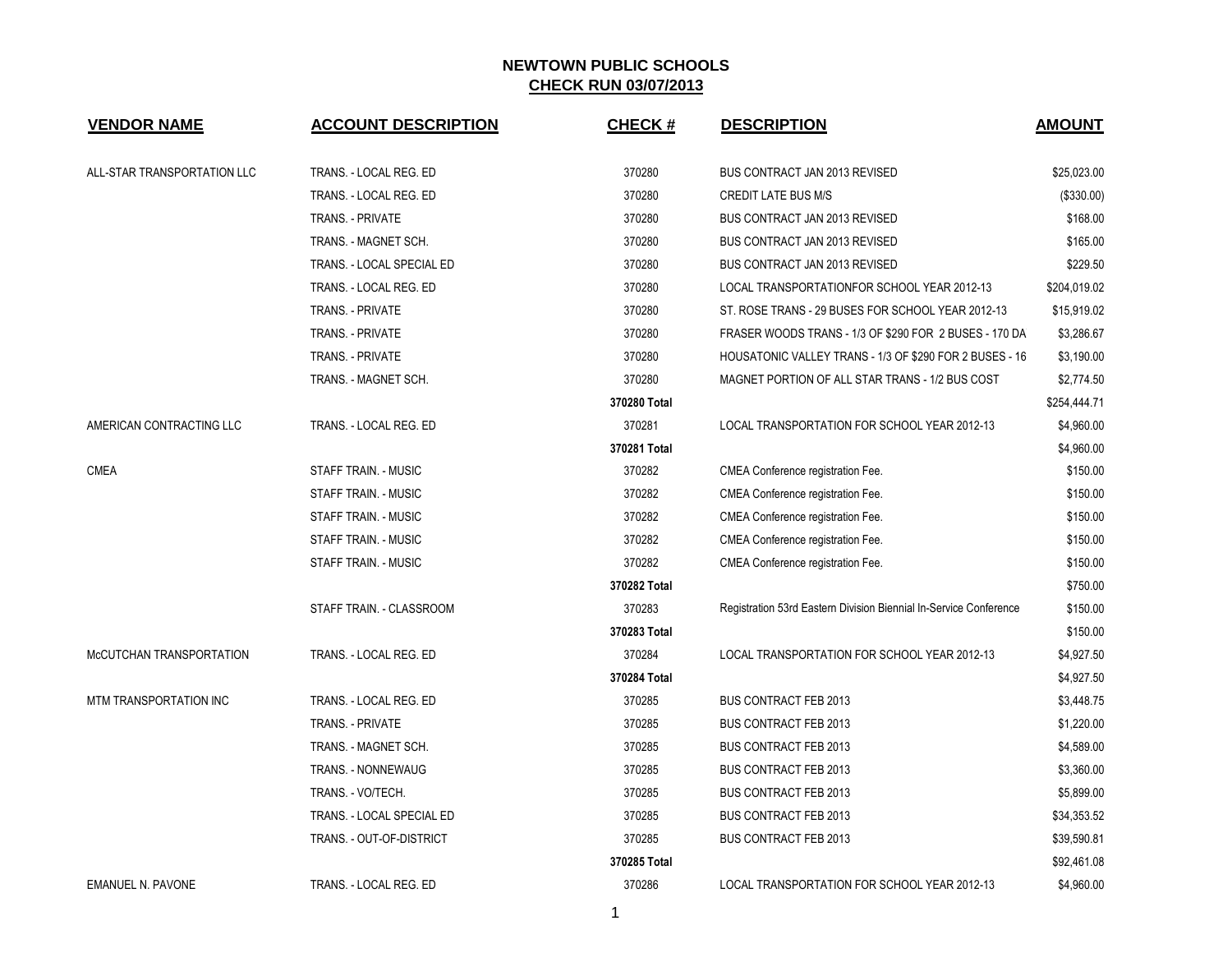## **NEWTOWN PUBLIC SCHOOLS CHECK RUN 03/07/2013**

| <b>VENDOR NAME</b>          | <b>ACCOUNT DESCRIPTION</b>  | <b>CHECK#</b> | <b>DESCRIPTION</b>                                                | <b>AMOUNT</b> |
|-----------------------------|-----------------------------|---------------|-------------------------------------------------------------------|---------------|
| ALL-STAR TRANSPORTATION LLC | TRANS. - LOCAL REG. ED      | 370280        | <b>BUS CONTRACT JAN 2013 REVISED</b>                              | \$25,023.00   |
|                             | TRANS. - LOCAL REG. ED      | 370280        | <b>CREDIT LATE BUS M/S</b>                                        | (\$330.00)    |
|                             | <b>TRANS. - PRIVATE</b>     | 370280        | <b>BUS CONTRACT JAN 2013 REVISED</b>                              | \$168.00      |
|                             | TRANS. - MAGNET SCH.        | 370280        | BUS CONTRACT JAN 2013 REVISED                                     | \$165.00      |
|                             | TRANS. - LOCAL SPECIAL ED   | 370280        | BUS CONTRACT JAN 2013 REVISED                                     | \$229.50      |
|                             | TRANS. - LOCAL REG. ED      | 370280        | LOCAL TRANSPORTATIONFOR SCHOOL YEAR 2012-13                       | \$204,019.02  |
|                             | TRANS. - PRIVATE            | 370280        | ST. ROSE TRANS - 29 BUSES FOR SCHOOL YEAR 2012-13                 | \$15,919.02   |
|                             | TRANS. - PRIVATE            | 370280        | FRASER WOODS TRANS - 1/3 OF \$290 FOR 2 BUSES - 170 DA            | \$3,286.67    |
|                             | TRANS. - PRIVATE            | 370280        | HOUSATONIC VALLEY TRANS - 1/3 OF \$290 FOR 2 BUSES - 16           | \$3,190.00    |
|                             | TRANS. - MAGNET SCH.        | 370280        | MAGNET PORTION OF ALL STAR TRANS - 1/2 BUS COST                   | \$2,774.50    |
|                             |                             | 370280 Total  |                                                                   | \$254,444.71  |
| AMERICAN CONTRACTING LLC    | TRANS. - LOCAL REG. ED      | 370281        | LOCAL TRANSPORTATION FOR SCHOOL YEAR 2012-13                      | \$4,960.00    |
|                             |                             | 370281 Total  |                                                                   | \$4,960.00    |
| <b>CMEA</b>                 | STAFF TRAIN. - MUSIC        | 370282        | CMEA Conference registration Fee.                                 | \$150.00      |
|                             | <b>STAFF TRAIN. - MUSIC</b> | 370282        | CMEA Conference registration Fee.                                 | \$150.00      |
|                             | STAFF TRAIN. - MUSIC        | 370282        | CMEA Conference registration Fee.                                 | \$150.00      |
|                             | STAFF TRAIN. - MUSIC        | 370282        | CMEA Conference registration Fee.                                 | \$150.00      |
|                             | STAFF TRAIN. - MUSIC        | 370282        | CMEA Conference registration Fee.                                 | \$150.00      |
|                             |                             | 370282 Total  |                                                                   | \$750.00      |
|                             | STAFF TRAIN. - CLASSROOM    | 370283        | Registration 53rd Eastern Division Biennial In-Service Conference | \$150.00      |
|                             |                             | 370283 Total  |                                                                   | \$150.00      |
| McCUTCHAN TRANSPORTATION    | TRANS. - LOCAL REG. ED      | 370284        | LOCAL TRANSPORTATION FOR SCHOOL YEAR 2012-13                      | \$4,927.50    |
|                             |                             | 370284 Total  |                                                                   | \$4,927.50    |
| MTM TRANSPORTATION INC      | TRANS. - LOCAL REG. ED      | 370285        | <b>BUS CONTRACT FEB 2013</b>                                      | \$3,448.75    |
|                             | TRANS. - PRIVATE            | 370285        | <b>BUS CONTRACT FEB 2013</b>                                      | \$1,220.00    |
|                             | TRANS. - MAGNET SCH.        | 370285        | <b>BUS CONTRACT FEB 2013</b>                                      | \$4,589.00    |
|                             | <b>TRANS. - NONNEWAUG</b>   | 370285        | <b>BUS CONTRACT FEB 2013</b>                                      | \$3,360.00    |
|                             | TRANS. - VO/TECH.           | 370285        | <b>BUS CONTRACT FEB 2013</b>                                      | \$5,899.00    |
|                             | TRANS. - LOCAL SPECIAL ED   | 370285        | <b>BUS CONTRACT FEB 2013</b>                                      | \$34,353.52   |
|                             | TRANS. - OUT-OF-DISTRICT    | 370285        | <b>BUS CONTRACT FEB 2013</b>                                      | \$39,590.81   |
|                             |                             | 370285 Total  |                                                                   | \$92,461.08   |
| <b>EMANUEL N. PAVONE</b>    | TRANS. - LOCAL REG. ED      | 370286        | LOCAL TRANSPORTATION FOR SCHOOL YEAR 2012-13                      | \$4,960.00    |